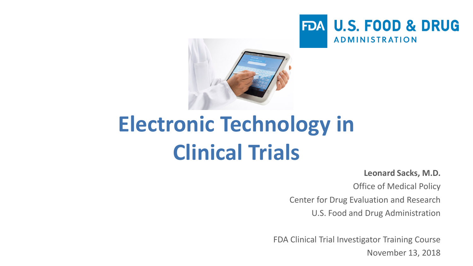



# **Electronic Technology in Clinical Trials**

**Leonard Sacks, M.D.**

Office of Medical Policy

Center for Drug Evaluation and Research

U.S. Food and Drug Administration

FDA Clinical Trial Investigator Training Course November 13, 2018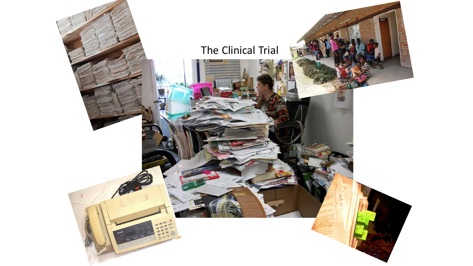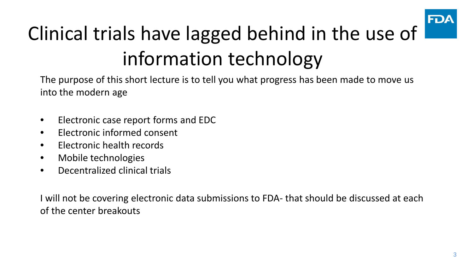

# Clinical trials have lagged behind in the use of information technology

The purpose of this short lecture is to tell you what progress has been made to move us into the modern age

- Electronic case report forms and EDC
- Electronic informed consent
- Electronic health records
- Mobile technologies
- Decentralized clinical trials

I will not be covering electronic data submissions to FDA- that should be discussed at each of the center breakouts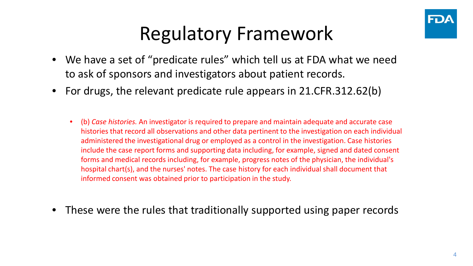

#### Regulatory Framework

- We have a set of "predicate rules" which tell us at FDA what we need to ask of sponsors and investigators about patient records.
- For drugs, the relevant predicate rule appears in 21.CFR.312.62(b)
	- (b) *Case histories.* An investigator is required to prepare and maintain adequate and accurate case histories that record all observations and other data pertinent to the investigation on each individual administered the investigational drug or employed as a control in the investigation. Case histories include the case report forms and supporting data including, for example, signed and dated consent forms and medical records including, for example, progress notes of the physician, the individual's hospital chart(s), and the nurses' notes. The case history for each individual shall document that informed consent was obtained prior to participation in the study.
- These were the rules that traditionally supported using paper records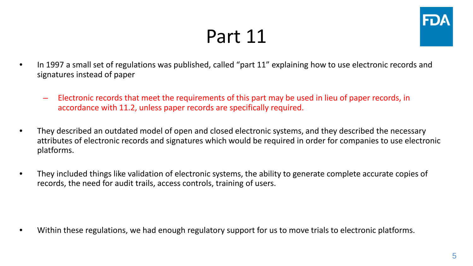#### Part 11



- In 1997 a small set of regulations was published, called "part 11" explaining how to use electronic records and signatures instead of paper
	- Electronic records that meet the requirements of this part may be used in lieu of paper records, in accordance with 11.2, unless paper records are specifically required.
- They described an outdated model of open and closed electronic systems, and they described the necessary attributes of electronic records and signatures which would be required in order for companies to use electronic platforms.
- They included things like validation of electronic systems, the ability to generate complete accurate copies of records, the need for audit trails, access controls, training of users.

• Within these regulations, we had enough regulatory support for us to move trials to electronic platforms.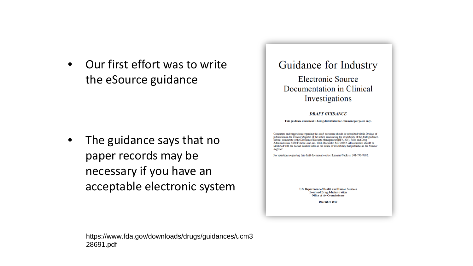• Our first effort was to write the eSource guidance

• The guidance says that no paper records may be necessary if you have an acceptable electronic system

#### Guidance for Industry

Electronic Source Documentation in Clinical Investigations

#### **DRAFT GUIDANCE**

This guidance document is being distributed for comment purposes only.

Comments and suggestions regarding this draft document should be submitted within 90 days of publication in the Federal Register of the notice announcing the availability of the draft guidance. ubmit comments to the Division of Dockets Management (HFA-305), Food and Drug Administration, 5630 Fishers Lane, rm. 1061, Rockville, MD 20852. All comments should be identified with the docket number listed in the notice of availability that publishes in the Federal Rogistar

For questions regarding this draft document contact Leonard Sacks at 301-796-8502.

U.S. Department of Health and Human Services Food and Drug Administration **Office of the Commissioner** 

December 2010

https://www.fda.gov/downloads/drugs/guidances/ucm3 28691.pdf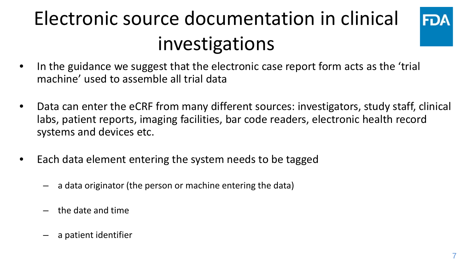# Electronic source documentation in clinical investigations



- In the guidance we suggest that the electronic case report form acts as the 'trial machine' used to assemble all trial data
- Data can enter the eCRF from many different sources: investigators, study staff, clinical labs, patient reports, imaging facilities, bar code readers, electronic health record systems and devices etc.
- Each data element entering the system needs to be tagged
	- a data originator (the person or machine entering the data)
	- the date and time
	- a patient identifier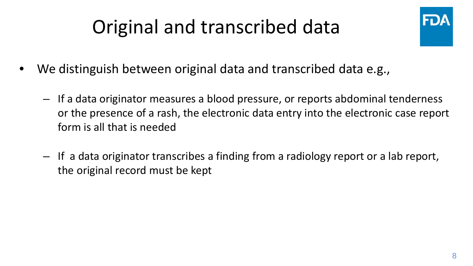# Original and transcribed data



- We distinguish between original data and transcribed data e.g.,
	- If a data originator measures a blood pressure, or reports abdominal tenderness or the presence of a rash, the electronic data entry into the electronic case report form is all that is needed
	- If a data originator transcribes a finding from a radiology report or a lab report, the original record must be kept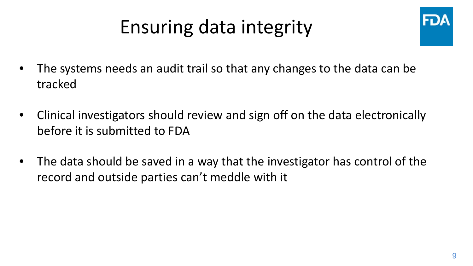#### Ensuring data integrity



- The systems needs an audit trail so that any changes to the data can be tracked
- Clinical investigators should review and sign off on the data electronically before it is submitted to FDA
- The data should be saved in a way that the investigator has control of the record and outside parties can't meddle with it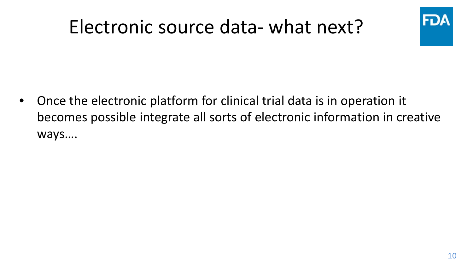#### Electronic source data- what next?



• Once the electronic platform for clinical trial data is in operation it becomes possible integrate all sorts of electronic information in creative ways….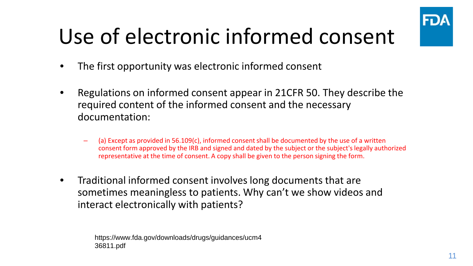

# Use of electronic informed consent

- The first opportunity was electronic informed consent
- Regulations on informed consent appear in 21CFR 50. They describe the required content of the informed consent and the necessary documentation:
	- $-$  (a) Except as provided in 56.109(c), informed consent shall be documented by the use of a written consent form approved by the IRB and signed and dated by the subject or the subject's legally authorized representative at the time of consent. A copy shall be given to the person signing the form.
- Traditional informed consent involves long documents that are sometimes meaningless to patients. Why can't we show videos and interact electronically with patients?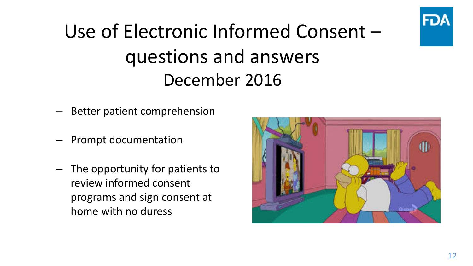



- Better patient comprehension
- Prompt documentation
- The opportunity for patients to review informed consent programs and sign consent at home with no duress

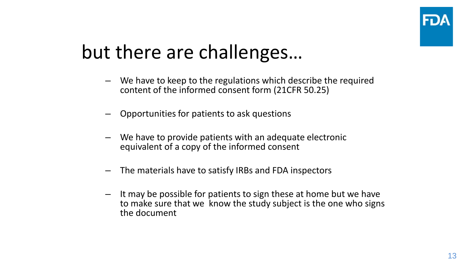#### but there are challenges…

- We have to keep to the regulations which describe the required content of the informed consent form (21CFR 50.25)
- Opportunities for patients to ask questions
- We have to provide patients with an adequate electronic equivalent of a copy of the informed consent
- The materials have to satisfy IRBs and FDA inspectors
- It may be possible for patients to sign these at home but we have to make sure that we know the study subject is the one who signs the document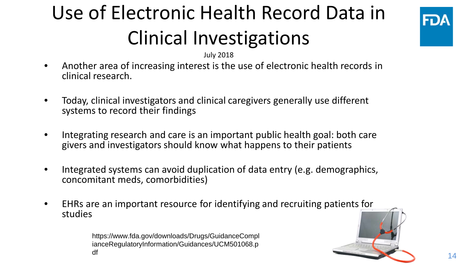# Use of Electronic Health Record Data in Clinical Investigations



July 2018

- Another area of increasing interest is the use of electronic health records in clinical research.
- Today, clinical investigators and clinical caregivers generally use different systems to record their findings
- Integrating research and care is an important public health goal: both care givers and investigators should know what happens to their patients
- Integrated systems can avoid duplication of data entry (e.g. demographics, concomitant meds, comorbidities)
- EHRs are an important resource for identifying and recruiting patients for studies

https://www.fda.gov/downloads/Drugs/GuidanceCompl ianceRegulatoryInformation/Guidances/UCM501068.p df

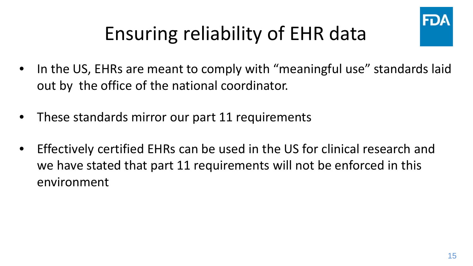

# Ensuring reliability of EHR data

- In the US, EHRs are meant to comply with "meaningful use" standards laid out by the office of the national coordinator.
- These standards mirror our part 11 requirements
- Effectively certified EHRs can be used in the US for clinical research and we have stated that part 11 requirements will not be enforced in this environment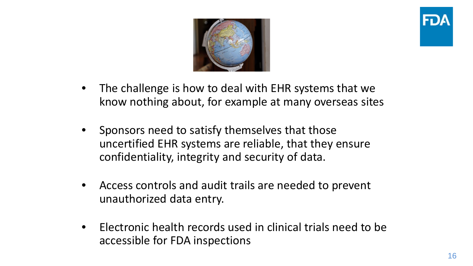



- The challenge is how to deal with EHR systems that we know nothing about, for example at many overseas sites
- Sponsors need to satisfy themselves that those uncertified EHR systems are reliable, that they ensure confidentiality, integrity and security of data.
- Access controls and audit trails are needed to prevent unauthorized data entry.
- Electronic health records used in clinical trials need to be accessible for FDA inspections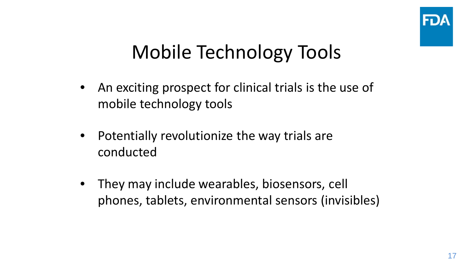

#### Mobile Technology Tools

- An exciting prospect for clinical trials is the use of mobile technology tools
- Potentially revolutionize the way trials are conducted
- They may include wearables, biosensors, cell phones, tablets, environmental sensors (invisibles)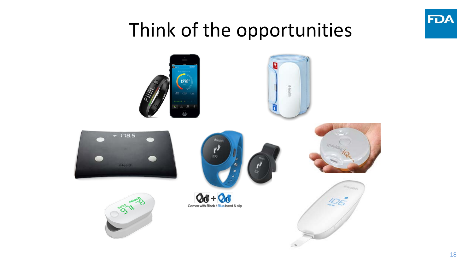

#### Think of the opportunities

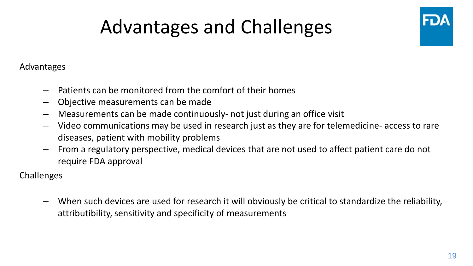# Advantages and Challenges



Advantages

- Patients can be monitored from the comfort of their homes
- Objective measurements can be made
- Measurements can be made continuously- not just during an office visit
- Video communications may be used in research just as they are for telemedicine- access to rare diseases, patient with mobility problems
- From a regulatory perspective, medical devices that are not used to affect patient care do not require FDA approval

Challenges

– When such devices are used for research it will obviously be critical to standardize the reliability, attributibility, sensitivity and specificity of measurements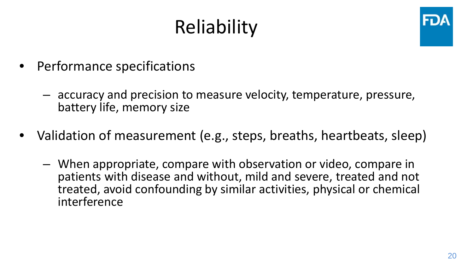# **Reliability**



- Performance specifications
	- accuracy and precision to measure velocity, temperature, pressure, battery life, memory size
- Validation of measurement (e.g., steps, breaths, heartbeats, sleep)
	- When appropriate, compare with observation or video, compare in patients with disease and without, mild and severe, treated and not treated, avoid confounding by similar activities, physical or chemical interference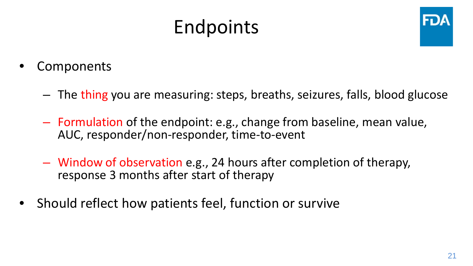#### Endpoints



- **Components** 
	- The thing you are measuring: steps, breaths, seizures, falls, blood glucose
	- Formulation of the endpoint: e.g., change from baseline, mean value, AUC, responder/non-responder, time-to-event
	- Window of observation e.g., 24 hours after completion of therapy, response 3 months after start of therapy
- Should reflect how patients feel, function or survive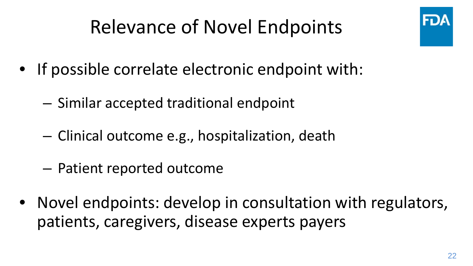# Relevance of Novel Endpoints

- If possible correlate electronic endpoint with:
	- Similar accepted traditional endpoint
	- Clinical outcome e.g., hospitalization, death
	- Patient reported outcome
- Novel endpoints: develop in consultation with regulators, patients, caregivers, disease experts payers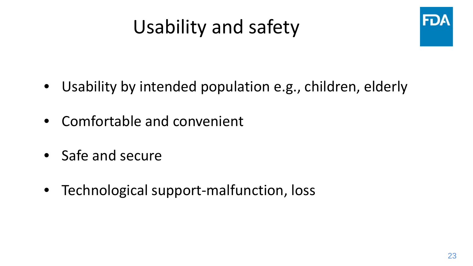### Usability and safety



- Usability by intended population e.g., children, elderly
- Comfortable and convenient
- Safe and secure
- Technological support-malfunction, loss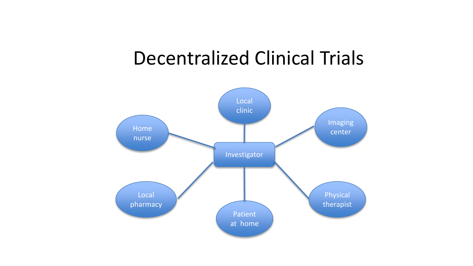#### Decentralized Clinical Trials

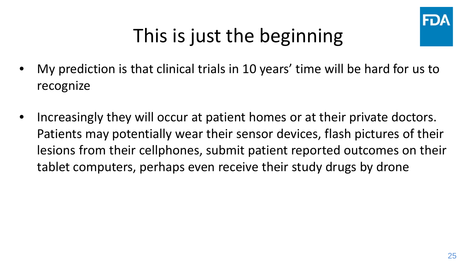

### This is just the beginning

- My prediction is that clinical trials in 10 years' time will be hard for us to recognize
- Increasingly they will occur at patient homes or at their private doctors. Patients may potentially wear their sensor devices, flash pictures of their lesions from their cellphones, submit patient reported outcomes on their tablet computers, perhaps even receive their study drugs by drone